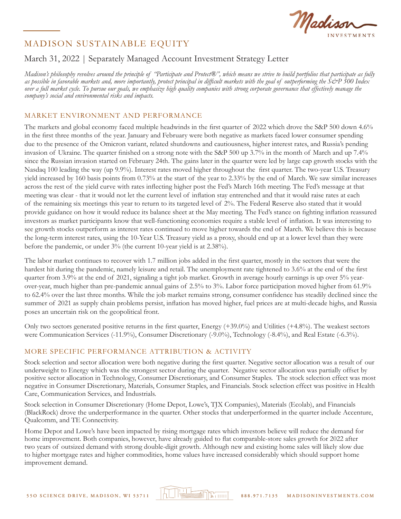Madiss

## March 31, 2022 | Separately Managed Account Investment Strategy Letter

*Madison's philosophy revolves around the principle of "Participate and Protect®", which means we strive to build portfolios that participate as fully as possible in favorable markets and, more importantly, protect principal in difficult markets with the goal of outperforming the S&P 500 Index over a full market cycle. To pursue our goals, we emphasize high quality companies with strong corporate governance that effectively manage the company's social and environmental risks and impacts.*

### MARKET ENVIRONMENT AND PERFORMANCE

The markets and global economy faced multiple headwinds in the first quarter of 2022 which drove the S&P 500 down 4.6% in the first three months of the year. January and February were both negative as markets faced lower consumer spending due to the presence of the Omicron variant, related shutdowns and cautiousness, higher interest rates, and Russia's pending invasion of Ukraine. The quarter finished on a strong note with the S&P 500 up 3.7% in the month of March and up 7.4% since the Russian invasion started on February 24th. The gains later in the quarter were led by large cap growth stocks with the Nasdaq 100 leading the way (up 9.9%). Interest rates moved higher throughout the first quarter. The two-year U.S. Treasury yield increased by 160 basis points from 0.73% at the start of the year to 2.33% by the end of March. We saw similar increases across the rest of the yield curve with rates inflecting higher post the Fed's March 16th meeting. The Fed's message at that meeting was clear - that it would not let the current level of inflation stay entrenched and that it would raise rates at each of the remaining six meetings this year to return to its targeted level of 2%. The Federal Reserve also stated that it would provide guidance on how it would reduce its balance sheet at the May meeting. The Fed's stance on fighting inflation reassured investors as market participants know that well-functioning economies require a stable level of inflation. It was interesting to see growth stocks outperform as interest rates continued to move higher towards the end of March. We believe this is because the long-term interest rates, using the 10-Year U.S. Treasury yield as a proxy, should end up at a lower level than they were before the pandemic, or under 3% (the current 10-year yield is at 2.38%).

The labor market continues to recover with 1.7 million jobs added in the first quarter, mostly in the sectors that were the hardest hit during the pandemic, namely leisure and retail. The unemployment rate tightened to 3.6% at the end of the first quarter from 3.9% at the end of 2021, signaling a tight job market. Growth in average hourly earnings is up over 5% yearover-year, much higher than pre-pandemic annual gains of 2.5% to 3%. Labor force participation moved higher from 61.9% to 62.4% over the last three months. While the job market remains strong, consumer confidence has steadily declined since the summer of 2021 as supply chain problems persist, inflation has moved higher, fuel prices are at multi-decade highs, and Russia poses an uncertain risk on the geopolitical front.

Only two sectors generated positive returns in the first quarter, Energy (+39.0%) and Utilities (+4.8%). The weakest sectors were Communication Services (-11.9%), Consumer Discretionary (-9.0%), Technology (-8.4%), and Real Estate (-6.3%).

#### MORE SPECIFIC PERFORMANCE ATTRIBUTION & ACTIVITY

Stock selection and sector allocation were both negative during the first quarter. Negative sector allocation was a result of our underweight to Energy which was the strongest sector during the quarter. Negative sector allocation was partially offset by positive sector allocation in Technology, Consumer Discretionary, and Consumer Staples. The stock selection effect was most negative in Consumer Discretionary, Materials, Consumer Staples, and Financials. Stock selection effect was positive in Health Care, Communication Services, and Industrials.

Stock selection in Consumer Discretionary (Home Depot, Lowe's, TJX Companies), Materials (Ecolab), and Financials (BlackRock) drove the underperformance in the quarter. Other stocks that underperformed in the quarter include Accenture, Qualcomm, and TE Connectivity.

Home Depot and Lowe's have been impacted by rising mortgage rates which investors believe will reduce the demand for home improvement. Both companies, however, have already guided to flat comparable-store sales growth for 2022 after two years of outsized demand with strong double-digit growth. Although new and existing home sales will likely slow due to higher mortgage rates and higher commodities, home values have increased considerably which should support home improvement demand.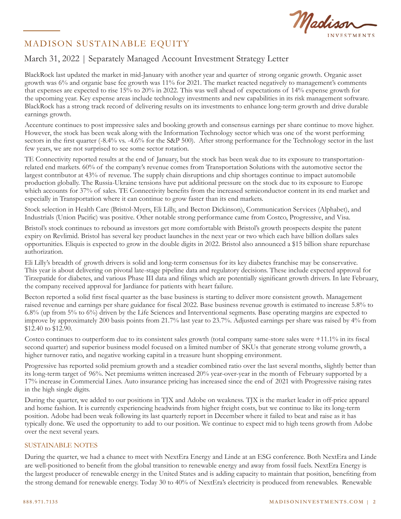

# March 31, 2022 | Separately Managed Account Investment Strategy Letter

BlackRock last updated the market in mid-January with another year and quarter of strong organic growth. Organic asset growth was 6% and organic base fee growth was 11% for 2021. The market reacted negatively to management's comments that expenses are expected to rise 15% to 20% in 2022. This was well ahead of expectations of 14% expense growth for the upcoming year. Key expense areas include technology investments and new capabilities in its risk management software. BlackRock has a strong track record of delivering results on its investments to enhance long-term growth and drive durable earnings growth.

Accenture continues to post impressive sales and booking growth and consensus earnings per share continue to move higher. However, the stock has been weak along with the Information Technology sector which was one of the worst performing sectors in the first quarter (-8.4% vs. -4.6% for the S&P 500). After strong performance for the Technology sector in the last few years, we are not surprised to see some sector rotation.

TE Connectivity reported results at the end of January, but the stock has been weak due to its exposure to transportationrelated end markets. 60% of the company's revenue comes from Transportation Solutions with the automotive sector the largest contributor at 43% of revenue. The supply chain disruptions and chip shortages continue to impact automobile production globally. The Russia-Ukraine tensions have put additional pressure on the stock due to its exposure to Europe which accounts for 37% of sales. TE Connectivity benefits from the increased semiconductor content in its end market and especially in Transportation where it can continue to grow faster than its end markets.

Stock selection in Health Care (Bristol-Myers, Eli Lilly, and Becton Dickinson), Communication Services (Alphabet), and Industrials (Union Pacific) was positive. Other notable strong performance came from Costco, Progressive, and Visa.

Bristol's stock continues to rebound as investors get more comfortable with Bristol's growth prospects despite the patent expiry on Revlimid. Bristol has several key product launches in the next year or two which each have billion dollars sales opportunities. Eliquis is expected to grow in the double digits in 2022. Bristol also announced a \$15 billion share repurchase authorization.

Eli Lilly's breadth of growth drivers is solid and long-term consensus for its key diabetes franchise may be conservative. This year is about delivering on pivotal late-stage pipeline data and regulatory decisions. These include expected approval for Tirzepatide for diabetes, and various Phase III data and filings which are potentially significant growth drivers. In late February, the company received approval for Jardiance for patients with heart failure.

Becton reported a solid first fiscal quarter as the base business is starting to deliver more consistent growth. Management raised revenue and earnings per share guidance for fiscal 2022. Base business revenue growth is estimated to increase 5.8% to 6.8% (up from 5% to 6%) driven by the Life Sciences and Interventional segments. Base operating margins are expected to improve by approximately 200 basis points from 21.7% last year to 23.7%. Adjusted earnings per share was raised by 4% from \$12.40 to \$12.90.

Costco continues to outperform due to its consistent sales growth (total company same-store sales were  $+11.1\%$  in its fiscal second quarter) and superior business model focused on a limited number of SKUs that generate strong volume growth, a higher turnover ratio, and negative working capital in a treasure hunt shopping environment.

Progressive has reported solid premium growth and a steadier combined ratio over the last several months, slightly better than its long-term target of 96%. Net premiums written increased 20% year-over-year in the month of February supported by a 17% increase in Commercial Lines. Auto insurance pricing has increased since the end of 2021 with Progressive raising rates in the high single digits.

During the quarter, we added to our positions in TJX and Adobe on weakness. TJX is the market leader in off-price apparel and home fashion. It is currently experiencing headwinds from higher freight costs, but we continue to like its long-term position. Adobe had been weak following its last quarterly report in December where it failed to beat and raise as it has typically done. We used the opportunity to add to our position. We continue to expect mid to high teens growth from Adobe over the next several years.

#### SUSTAINABLE NOTES

During the quarter, we had a chance to meet with NextEra Energy and Linde at an ESG conference. Both NextEra and Linde are well-positioned to benefit from the global transition to renewable energy and away from fossil fuels. NextEra Energy is the largest producer of renewable energy in the United States and is adding capacity to maintain that position, benefiting from the strong demand for renewable energy. Today 30 to 40% of NextEra's electricity is produced from renewables. Renewable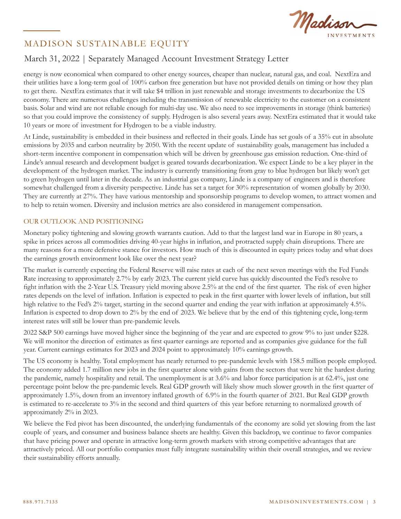

# March 31, 2022 | Separately Managed Account Investment Strategy Letter

energy is now economical when compared to other energy sources, cheaper than nuclear, natural gas, and coal. NextEra and their utilities have a long-term goal of 100% carbon free generation but have not provided details on timing or how they plan to get there. NextEra estimates that it will take \$4 trillion in just renewable and storage investments to decarbonize the US economy. There are numerous challenges including the transmission of renewable electricity to the customer on a consistent basis. Solar and wind are not reliable enough for multi-day use. We also need to see improvements in storage (think batteries) so that you could improve the consistency of supply. Hydrogen is also several years away. NextEra estimated that it would take 10 years or more of investment for Hydrogen to be a viable industry.

At Linde, sustainability is embedded in their business and reflected in their goals. Linde has set goals of a 35% cut in absolute emissions by 2035 and carbon neutrality by 2050. With the recent update of sustainability goals, management has included a short-term incentive component in compensation which will be driven by greenhouse gas emission reduction. One-third of Linde's annual research and development budget is geared towards decarbonization. We expect Linde to be a key player in the development of the hydrogen market. The industry is currently transitioning from gray to blue hydrogen but likely won't get to green hydrogen until later in the decade. As an industrial gas company, Linde is a company of engineers and is therefore somewhat challenged from a diversity perspective. Linde has set a target for 30% representation of women globally by 2030. They are currently at 27%. They have various mentorship and sponsorship programs to develop women, to attract women and to help to retain women. Diversity and inclusion metrics are also considered in management compensation.

### OUR OUTLOOK AND POSITIONING

Monetary policy tightening and slowing growth warrants caution. Add to that the largest land war in Europe in 80 years, a spike in prices across all commodities driving 40-year highs in inflation, and protracted supply chain disruptions. There are many reasons for a more defensive stance for investors. How much of this is discounted in equity prices today and what does the earnings growth environment look like over the next year?

The market is currently expecting the Federal Reserve will raise rates at each of the next seven meetings with the Fed Funds Rate increasing to approximately 2.7% by early 2023. The current yield curve has quickly discounted the Fed's resolve to fight inflation with the 2-Year U.S. Treasury yield moving above 2.5% at the end of the first quarter. The risk of even higher rates depends on the level of inflation. Inflation is expected to peak in the first quarter with lower levels of inflation, but still high relative to the Fed's 2% target, starting in the second quarter and ending the year with inflation at approximately 4.5%. Inflation is expected to drop down to 2% by the end of 2023. We believe that by the end of this tightening cycle, long-term interest rates will still be lower than pre-pandemic levels.

2022 S&P 500 earnings have moved higher since the beginning of the year and are expected to grow 9% to just under \$228. We will monitor the direction of estimates as first quarter earnings are reported and as companies give guidance for the full year. Current earnings estimates for 2023 and 2024 point to approximately 10% earnings growth.

The US economy is healthy. Total employment has nearly returned to pre-pandemic levels with 158.5 million people employed. The economy added 1.7 million new jobs in the first quarter alone with gains from the sectors that were hit the hardest during the pandemic, namely hospitality and retail. The unemployment is at 3.6% and labor force participation is at 62.4%, just one percentage point below the pre-pandemic levels. Real GDP growth will likely show much slower growth in the first quarter of approximately 1.5%, down from an inventory inflated growth of 6.9% in the fourth quarter of 2021. But Real GDP growth is estimated to re-accelerate to 3% in the second and third quarters of this year before returning to normalized growth of approximately 2% in 2023.

We believe the Fed pivot has been discounted, the underlying fundamentals of the economy are solid yet slowing from the last couple of years, and consumer and business balance sheets are healthy. Given this backdrop, we continue to favor companies that have pricing power and operate in attractive long-term growth markets with strong competitive advantages that are attractively priced. All our portfolio companies must fully integrate sustainability within their overall strategies, and we review their sustainability efforts annually.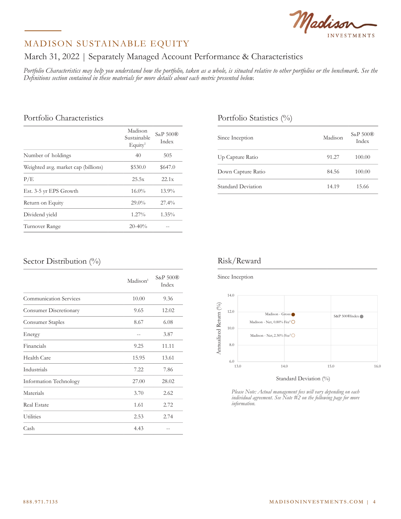

# March 31, 2022 | Separately Managed Account Performance & Characteristics

*Portfolio Characteristics may help you understand how the portfolio, taken as a whole, is situated relative to other portfolios or the benchmark. See the Definitions section contained in these materials for more details about each metric presented below.*

### Portfolio Characteristics

|                                     | Madison<br>Sustainable<br>Equity <sup>1</sup> | $S\&P500\&$<br>Index |
|-------------------------------------|-----------------------------------------------|----------------------|
| Number of holdings                  | 40                                            | 505                  |
| Weighted avg. market cap (billions) | \$530.0                                       | \$647.0              |
| P/E                                 | 25.5x                                         | 22.1x                |
| Est. 3-5 yr EPS Growth              | $16.0\%$                                      | 13.9%                |
| Return on Equity                    | $29.0\%$                                      | 27.4%                |
| Dividend yield                      | $1.27\%$                                      | $1.35\%$             |
| Turnover Range                      | $20 - 40\%$                                   |                      |

### Portfolio Statistics (%)

| Since Inception    | Madison | $S\&P500\&$<br>Index |
|--------------------|---------|----------------------|
| Up Capture Ratio   | 91.27   | 100.00               |
| Down Capture Ratio | 84.56   | 100.00               |
| Standard Deviation | 14.19   | 15.66                |

## Sector Distribution (%)

|                               | Madison <sup>1</sup> | $S\&P500\circledR$<br>Index |
|-------------------------------|----------------------|-----------------------------|
| <b>Communication Services</b> | 10.00                | 9.36                        |
| Consumer Discretionary        | 9.65                 | 12.02                       |
| Consumer Staples              | 8.67                 | 6.08                        |
| Energy                        |                      | 3.87                        |
| Financials                    | 9.25                 | 11.11                       |
| Health Care                   | 15.95                | 13.61                       |
| Industrials                   | 7.22                 | 7.86                        |
| Information Technology        | 27.00                | 28.02                       |
| Materials                     | 3.70                 | 2.62                        |
| <b>Real Estate</b>            | 1.61                 | 2.72                        |
| Utilities                     | 2.53                 | 2.74                        |
| Cash                          | 4.43                 |                             |

### Risk/Reward



*Please Note: Actual management fees will vary depending on each individual agreement. See Note #2 on the following page for more information.*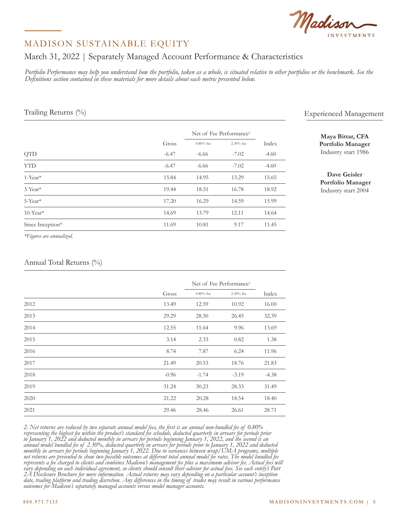

## March 31, 2022 | Separately Managed Account Performance & Characteristics

*Portfolio Performance may help you understand how the portfolio, taken as a whole, is situated relative to other portfolios or the benchmark. See the Definitions section contained in these materials for more details about each metric presented below.*

#### Trailing Returns (%)

|                         |         | Net of Fee Performance <sup>2</sup> |           |         |
|-------------------------|---------|-------------------------------------|-----------|---------|
|                         | Gross   | $0.80\%$ fee                        | 2.30% fee | Index   |
| <b>QTD</b>              | $-6.47$ | $-6.66$                             | $-7.02$   | $-4.60$ |
| <b>YTD</b>              | $-6.47$ | $-6.66$                             | $-7.02$   | $-4.60$ |
| $1$ -Year <sup>*</sup>  | 15.84   | 14.95                               | 13.29     | 15.65   |
| $3$ -Year <sup>*</sup>  | 19.44   | 18.51                               | 16.78     | 18.92   |
| 5-Year*                 | 17.20   | 16.29                               | 14.59     | 15.99   |
| $10$ -Year <sup>*</sup> | 14.69   | 13.79                               | 12.11     | 14.64   |
| Since Inception*        | 11.69   | 10.81                               | 9.17      | 11.45   |

*\*Figures are annualized.*

#### Annual Total Returns (%)

|      |         | Net of Fee Performance <sup>2</sup> |           |         |
|------|---------|-------------------------------------|-----------|---------|
|      | Gross   | $0.80\%$ fee                        | 2.30% fee | Index   |
| 2012 | 13.49   | 12.59                               | 10.92     | 16.00   |
| 2013 | 29.29   | 28.30                               | 26.45     | 32.39   |
| 2014 | 12.55   | 11.64                               | 9.96      | 13.69   |
| 2015 | 3.14    | 2.33                                | 0.82      | 1.38    |
| 2016 | 8.74    | 7.87                                | 6.24      | 11.96   |
| 2017 | 21.49   | 20.53                               | 18.76     | 21.83   |
| 2018 | $-0.96$ | $-1.74$                             | $-3.19$   | $-4.38$ |
| 2019 | 31.24   | 30.23                               | 28.33     | 31.49   |
| 2020 | 21.22   | 20.28                               | 18.54     | 18.40   |
| 2021 | 29.46   | 28.46                               | 26.61     | 28.71   |

*2. Net returns are reduced by two separate annual model fees, the first is an annual non-bundled fee of 0.80% representing the highest fee within the product's standard fee schedule, deducted quarterly in arrears for periods prior to January 1, 2022 and deducted monthly in arrears for periods beginning January 1, 2022, and the second is an annual model bundled fee of 2.30%, deducted quarterly in arrears for periods prior to January 1, 2022 and deducted monthly in arrears for periods beginning January 1, 2022. Due to variances between wrap/UMA programs, multiple net returns are presented to show two possible outcomes at different total annual model fee rates. The model bundled fee represents a fee charged to clients and combines Madison's management fee plus a maximum advisor fee. Actual fees will vary depending on each individual agreement, so clients should consult their advisor for actual fees. See each entity's Part 2A Disclosure Brochure for more information. Actual returns may vary depending on a particular account's inception date, trading platform and trading discretion. Any differences in the timing of trades may result in various performance outcomes for Madison's separately managed accounts versus model manager accounts.*

#### Experienced Management

**Maya Bittar, CFA Portfolio Manager** Industry start 1986

#### **Dave Geisler Portfolio Manager** Industry start 2004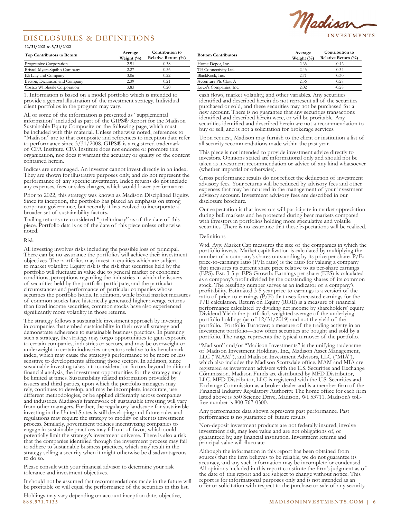# DISCLOSURES & DEFINITIONS

#### **12/31/2021 to 3/31/2022**

| Top Contributors to Return    | Average<br>Weight $(\%)$ | Contribution to<br>Relative Return (%) | <b>Bottom Contributors</b> |                       | Contribut<br><b>Relative Ret</b> |
|-------------------------------|--------------------------|----------------------------------------|----------------------------|-----------------------|----------------------------------|
| Progressive Corporation       | 2.91                     | 0.38                                   | Home Depot, Inc.           | Weight $(\%)$<br>2.63 | $-0.42$                          |
| Bristol-Myers Squibb Company  | 2.27                     | 0.36                                   | TE Connectivity Ltd.       | 2.43                  | $-0.34$                          |
| Eli Lilly and Company         | 3.06                     | 0.22.                                  | BlackRock. Inc.            |                       | $-0.30$                          |
| Becton, Dickinson and Company | 2.39                     | 0.21                                   | Accenture Plc Class A      | 2.36                  | $-0.28$                          |
| Costco Wholesale Corporation  | 3.83                     | 0.20                                   | Lowe's Companies, Inc.     | 2.02                  | $-0.28$                          |

1. Information is based on a model portfolio which is intended to provide a general illustration of the investment strategy. Individual provide a general mascration of the investment state<br>client portfolios in the program may vary. **12/31/2021 to 3/31/2022**

All or some of the information is presented as "supplemental All or some of the information is presented as "supplemental<br>
information" included as part of the GIPS® Report for the Madison<br> **Examplemental** and described herein are not  $S$ ustainable Equity Composite on the following page, which must  $S_{\text{true}}$  and  $S_{\text{true}}$  and  $S_{\text{true}}$  and  $S_{\text{true}}$  and  $S_{\text{true}}$  and  $S_{\text{true}}$  and  $S_{\text{true}}$  and  $S_{\text{true}}$  and  $S_{\text{true}}$  and  $S_{\text{true}}$  and  $S_{\text{true}}$  and  $S$ be included with this material. Unless otherwise noted, references to "Madison" are to that composite and references to inception date refer to performance since  $3/31/2008$ . GIPS® is a registered trademark all security recommendations made within the past year. of CFA Institute. CFA Institute does not endorse or promote this This piece is not intended to provide investment advice direct organization, nor does it warrant the accuracy or quality of the content contained herein. De included with this material. Unless otherwise noted, references to buy of sen, and is not a solidiation for broadinge services. Madison" are to that composite and references to inception date refer Upon request, Madison may furnish to the client or institution

Indices are unmanaged. An investor cannot invest directly in an index. They are shown for illustrative purposes only, and do not represent the I hey are shown for inustrative purposes only, and do not represent the performance of any specific investment. Index returns do not include any expenses, fees or sales charges, which would lower performance. 11**1** to 31 and 31 and 31 appearance s

Prior to 2022, this strategy was known as Madison Disciplined Equity. advisory account. Investment advisory fees are described in o Since its inception, the portfolio has placed an emphasis on strong disclosure brochure. corporate governance, but recently it has evolved to incorporate a Que expectation is that investors will perficient in market are broader set of sustainability factors. Corporate governance, but recently it has evolved to incorporate a<br>Droader set of sustainability factors.

Trailing returns are considered "preliminary" as of the date of this piece. Portfolio data is as of the date of this piece unless otherwise noted.

#### Risk

All investing involves risks including the possible loss of principal. There can be no assurance the portfolios will achieve their investment objectives. The portfolios may invest in equities which are subject to market volatility. Equity risk is the risk that securities held by the portfolio will fluctuate in value due to general market or economic conditions, perceptions regarding the industries in which the issuers of securities held by the portfolio participate, and the particular circumstances and performance of particular companies whose securities the portfolio holds. In addition, while broad market measures of common stocks have historically generated higher average returns than fixed income securities, common stocks have also experienced significantly more volatility in those returns.

The strategy follows a sustainable investment approach by investing in companies that embed sustainability in their overall strategy and demonstrate adherence to sustainable business practices. In pursuing such a strategy, the strategy may forgo opportunities to gain exposure to certain companies, industries or sectors, and may be overweight or underweight in certain industries or sectors relative to its benchmark index, which may cause the strategy's performance to be more or less sensitive to developments affecting those sectors. In addition, since sustainable investing takes into consideration factors beyond traditional financial analysis, the investment opportunities for the strategy may be limited at times. Sustainability related information provided by issuers and third parties, upon which the portfolio managers may rely, continues to develop, and may be incomplete, inaccurate, use different methodologies, or be applied differently across companies and industries. Madison's framework of sustainable investing will vary from other managers. Further, the regulatory landscape for sustainable investing in the United States is still developing and future rules and regulations may require the strategy to modify or alter its investment process. Similarly, government policies incentivizing companies to engage in sustainable practices may fall out of favor, which could potentially limit the strategy's investment universe. There is also a risk that the companies identified through the investment process may fail to adhere to sustainable business practices, which may result in the strategy selling a security when it might otherwise be disadvantageous to do so.

Please consult with your financial advisor to determine your risk tolerance and investment objectives.

It should not be assumed that recommendations made in the future will be profitable or will equal the performance of the securities in this list.

**888.971.7135 MADISONINVESTMENTS.COM | 6** Holdings may vary depending on account inception date, objective,



| Average<br>Weight (%) | Contribution to<br>Relative Return (%) | <b>Bottom Contributors</b> | Average<br>Weight $(\%)$ | Contribution to<br>Relative Return (%) |
|-----------------------|----------------------------------------|----------------------------|--------------------------|----------------------------------------|
| 2.91                  | 0.38                                   | Home Depot, Inc.           | 2.63                     | $-0.42$                                |
| 2.27                  | 0.36                                   | TE Connectivity Ltd.       | 2.43                     | $-0.34$                                |
| 3.06                  | 0.22                                   | BlackRock, Inc.            | 2.71                     | $-0.30$                                |
| 2.39                  | 0.21                                   | Accenture Plc Class A      | 2.36                     | $-0.28$                                |
| 3.83                  | 0.20                                   | Lowe's Companies, Inc.     | 2.02                     | $-0.28$                                |

cash flows, market volatility, and other variables. Any securities identified and described herein do not represent all of the securities purchased or sold, and these securities may not be purchased for a new account. There is no guarantee that any securities transactions dentified and described herein were, or will be profitable. Any<br> **Report for the Madison** identified and described herein were, or will be profitable. Any relatived and described herein were, or will be profitable. This securities identified and described herein are not a recommendation to buy or sell, and is not a solicitation for brokerage services.

> Upon request, Madison may furnish to the client or institution a list of all security recommendations made within the past year.

This piece is not intended to provide investment advice directly to investors. Opinions stated are informational only and should not be taken as investment recommendation or advice of any kind whatsoever (whether impartial or otherwise).

Fig. and do not represent the advisory fees Four returns do not reflect the deduction of investment dex returns do not include advisory fees Your returns will be reduced by advisory fees and other index returns do not include<br> **Weight (Weight (Weight Construct)** advisory fees. Your returns will be reduced by advisory fees and other iny expenses, rees or sales charges, which would lower performance. expenses that may be incurred in the management of your investment advisory account. Investment advisory fees are described in our disclosure brochure.

> during bull markets and be protected during bear markets compared with investors in portfolios holding more speculative and volatile securities. There is no assurance that these expectations will be realized.

#### Definitions

Wtd. Avg. Market Cap measures the size of the companies in which the portfolio invests. Market capitalization is calculated by multiplying the number of a company's shares outstanding by its price per share. P/E: price-to-earnings ratio (P/E ratio) is the ratio for valuing a company that measures its current share price relative to its per-share earnings (EPS). Est. 3-5 yr EPS Growth: Earnings per share (EPS) is calculated as a company's profit divided by the outstanding shares of its common stock. The resulting number serves as an indicator of a company's profitability. Estimated 3-5 year price-to-earnings is a version of the ratio of price-to-earnings  $(\dot{P}/E)$  that uses forecasted earnings for the P/E calculation. Return on Equity (ROE) is a measure of financial performance calculated by dividing net income by shareholders' equity. Dividend Yield: the portfolio's weighted average of the underlying portfolio holdings (as of 12/31/2019) and not the yield of the portfolio. Portfolio Turnover: a measure of the trading activity in an investment portfolio—how often securities are bought and sold by a portfolio. The range represents the typical turnover of the portfolio.

"Madison" and/or "Madison Investments" is the unifying tradename of Madison Investment Holdings, Inc., Madison Asset Management, LLC ("MAM"), and Madison Investment Advisors, LLC ("MIA"), which also includes the Madison Scottsdale office. MAM and MIA are registered as investment advisers with the U.S. Securities and Exchange Commission. Madison Funds are distributed by MFD Distributor, LLC. MFD Distributor, LLC is registered with the U.S. Securities and Exchange Commission as a broker-dealer and is a member firm of the Financial Industry Regulatory Authority. The home office for each firm listed above is 550 Science Drive, Madison, WI 53711. Madison's tollfree number is 800-767-0300.

Any performance data shown represents past performance. Past performance is no guarantee of future results.

Non-deposit investment products are not federally insured, involve investment risk, may lose value and are not obligations of, or guaranteed by, any financial institution. Investment returns and principal value will fluctuate.

Although the information in this report has been obtained from sources that the firm believes to be reliable, we do not guarantee its accuracy, and any such information may be incomplete or condensed. All opinions included in this report constitute the firm's judgment as of the date of this report and are subject to change without notice. This report is for informational purposes only and is not intended as an offer or solicitation with respect to the purchase or sale of any security.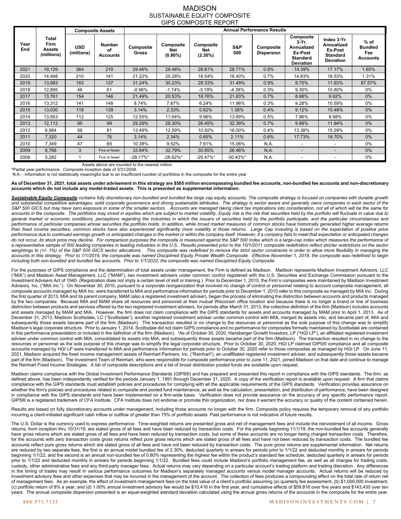#### MADISON SUSTAINABLE EQUITY COMPOSITE GIPS COMPOSITE REPORT

|             |                                       | <b>Composite Assets</b>  |                                        |                           | <b>Annual Performance Results</b>     |                                |              |                                |                                                                                    |                                                                                    |                                                    |
|-------------|---------------------------------------|--------------------------|----------------------------------------|---------------------------|---------------------------------------|--------------------------------|--------------|--------------------------------|------------------------------------------------------------------------------------|------------------------------------------------------------------------------------|----------------------------------------------------|
| Year<br>End | Total<br>Firm<br>Assets<br>(millions) | <b>USD</b><br>(millions) | <b>Number</b><br>οf<br><b>Accounts</b> | Composite<br><b>Gross</b> | Composite<br><b>Net</b><br>$(0.80\%)$ | Composite<br>Net<br>$(2.30\%)$ | S&P<br>500   | Composite<br><b>Dispersion</b> | Composite<br>3-Yr.<br>Annualized<br>Ex-Post<br><b>Standard</b><br><b>Deviation</b> | Index 3-Yr.<br><b>Annualized</b><br>Ex-Post<br><b>Standard</b><br><b>Deviation</b> | $%$ of<br><b>Bundled</b><br>Fee<br><b>Accounts</b> |
| 2021        | 19,129                                | 364                      | 219                                    | 29.46%                    | 28.46%                                | 26.61%                         | 28.71%       | 0.8%                           | 14.39%                                                                             | 17.17%                                                                             | 1.65%                                              |
| 2020        | 14,498                                | 210                      | 141                                    | 21.22%                    | 20.28%                                | 18.54%                         | 18.40%       | 0.7%                           | 14.83%                                                                             | 18.53%                                                                             | 1.31%                                              |
| 2019        | 13,993                                | 183                      | 137                                    | 31.24%                    | 30.23%                                | 28.33%                         | 31.49%       | 0.9%                           | 9.75%                                                                              | 11.93%                                                                             | 87.57%                                             |
| 2018        | 12,895                                | 46                       | 61                                     | $-0.96%$                  | $-1.74%$                              | $-3.19%$                       | $-4.38%$     | 0.3%                           | 9.30%                                                                              | 10.80%                                                                             | 0%                                                 |
| 2017        | 13,761                                | 154                      | 146                                    | 21.49%                    | 20.53%                                | 18.76%                         | 21.83%       | 0.7%                           | 8.68%                                                                              | 9.92%                                                                              | 0%                                                 |
| 2016        | 13.312                                | 141                      | 148                                    | 8.74%                     | 7.87%                                 | 6.24%                          | 11.96%       | 0.3%                           | 9.28%                                                                              | 10.59%                                                                             | 0%                                                 |
| 2015        | 13,030                                | 119                      | 139                                    | 3.14%                     | 2.33%                                 | 0.82%                          | 1.38%        | 0.4%                           | 9.12%                                                                              | 10.48%                                                                             | 0%                                                 |
| 2014        | 13,953                                | 112                      | 125                                    | 12.55%                    | 11.64%                                | 9.96%                          | 13.69%       | 0.5%                           | 7.86%                                                                              | 8.98%                                                                              | 0%                                                 |
| 2013        | 12,112                                | 95                       | 99                                     | 29.29%                    | 28.30%                                | 26.45%                         | 32.39%       | 0.7%                           | 9.88%                                                                              | 11.94%                                                                             | 0%                                                 |
| 2012        | 6,984                                 | 56                       | 81                                     | 13.49%                    | 12.59%                                | 10.92%                         | 16.00%       | 0.4%                           | 13.38%                                                                             | 15.09%                                                                             | 0%                                                 |
| 2011        | 7,320                                 | 44                       | 76                                     | 3.14%                     | 2.34%                                 | 0.85%                          | 2.11%        | 0.6%                           | 17.73%                                                                             | 18.70%                                                                             | 0%                                                 |
| 2010        | 7,349                                 | 47                       | 65                                     | 10.38%                    | 9.52%                                 | 7.91%                          | 15.06%       | N.A.                           | ۰                                                                                  |                                                                                    | 0%                                                 |
| 2009        | 6.766                                 | 3                        | Five or fewer                          | 33.84%                    | 32.79%                                | 30.85%                         | 26.46%       | N.A.                           | $\overline{\phantom{0}}$                                                           | $\overline{\phantom{a}}$                                                           | 0%                                                 |
| 2008        | 5,282                                 |                          | Five or fewer                          | $-28.17\%$ *              | $-28.62\%$ *                          | $-29.47\%$ *                   | $-30.43\%$ * | N.A.                           | ۰                                                                                  | $\blacksquare$                                                                     | 0%                                                 |

Assets above are rounded to the nearest million

\*Partial year performance. Composite inception date of 3/31/2008.

N.A. - Information is not statistically meaningful due to an insufficient number of portfolios in the composite for the entire year

**As of December 31, 2021, total assets under advisement in this strategy are \$565 million encompassing bundled fee accounts, non-bundled fee accounts and non-discretionary accounts which do not include any model-traded assets. This is presented as supplemental information.** 

**Sustainable Equity Composite** contains fully discretionary non-bundled and bundled fee large cap equity accounts. The composite strategy is focused on companies with durable growth<br>and substantial competitive advantages, S&P 500 GICS but may have zero exposure in some of the smaller sectors. Accounts are managed taking client tax implications into consideration, not all of which will be the same for *accounts in the composite. The portfolios may invest in equities which are subject to market volatility. Equity risk is the risk that securities held by the portfolio will fluctuate in value due to general market or economic conditions, perceptions regarding the industries in which the issuers of securities held by the portfolio participate, and the particular circumstances and performance of particular companies whose securities the portfolio holds. In addition, while broad market measures of common stocks have historically generated higher average returns than fixed income securities, common stocks have also experienced significantly more volatility in those returns. Large Cap investing is based on the expectation of positive price performance due to continued earnings growth or anticipated changes in the market or within the company itself. However, if a company fails to meet that expectation or anticipated changes*  do not occur, its stock price may decline. For comparison purposes the composite is measured against the S&P 500 Index which is a large-cap index which measures the performance of *a representative sample of 500 leading companies in leading industries in the U.S. Results presented prior to the 10/1/2011 composite redefinition reflect stricter restrictions on the sector*  weightings to (+/- 1%) of the S&P 500 GICS sector allocations. This composite was redefined to remove the strict sector constraints in order to allow more flexibility in managing the accounts in this strategy. Prior to 1/1/2019, the composite was named Disciplined Equity Private Wealth Composite. Effective November 1, 2019, the composite was redefined to begin *including both non-bundled and bundled fee accounts. Prior to 1/1/2022, the composite was named Disciplined Equity Composite.* 

For the purposes of GIPS compliance and the determination of total assets under management, the Firm is defined as Madison. Madison represents Madison Investment Advisors, LLC ("MIA") and Madison Asset Management, LLC ("MAM"), two investment advisers under common control registered with the U.S. Securities and Exchange Commission pursuant to the Investment Advisers Act of 1940. (Registration does not imply a certain level of skill or training.) Prior to December 1, 2010, the Firm's composites were maintained by Madison Investment Advisors, Inc. ("MIA Inc."). On November 30, 2010, pursuant to a corporate reorganization that involved no change of control or personnel relating to account composite management, all composite accounts managed by MIA Inc. were transferred to MIA and performance information for periods prior to December 1, 2010 refer to this composite as managed by MIA Inc. During the first quarter of 2013, MIA and its parent company, MAM (also a registered investment adviser), began the process of eliminating the distinction between accounts and products managed by the two companies. Because MIA and MAM share all resources and personnel at their mutual Wisconsin office location and because there is no longer a brand or line of business distinction between products and services offered by the two registered investment advisers, for periods after March 31, 2013, the collective definition of the firm (Madison) includes accounts and assets managed by MAM and MIA. However, the firm does not claim compliance with the GIPS standards for assets and accounts managed by MAM prior to April 1, 2013. As of December 31, 2013, Madison Scottsdale, LC ("Scottsdale"), another registered investment adviser under common control with MIA, merged its assets into, and became part of, MIA and subsequently those assets became part of the firm (Madison). The transaction resulted in no change to the resources or personnel as the sole purpose of this change was to simplify Madison's legal corporate structure. Prior to January 1, 2014, Scottsdale did not claim GIPS compliance and no performance for composites formally maintained by Scottsdale are contained in this performance presentation or included in the definition of the firm (Madison). \*As of October 30, 2020, Hansberger Growth Investors, LP ("HGI LP"), an affiliated registered investment adviser under common control with MIA, consolidated its assets into MIA, and subsequently those assets became part of the firm (Madison). The transaction resulted in no change to the resources or personnel as the sole purpose of this change was to simplify the legal corporate structure. Prior to October 30, 2020, HGI LP claimed GIPS® compliance and all composite accounts managed by HGI LP were transferred to MIA and performance information for periods prior to October 30, 2020 refer to those composites as managed by HGI LP. On June 11, 2021, Madison acquired the fixed income management assets of Reinhart Partners, Inc. ("Reinhart"), an unaffiliated registered investment adviser, and subsequently those assets became part of the firm (Madison). The Investment Team of Reinhart, who were responsible for composite performance prior to June 11, 2021, joined Madison on that date and continue to manage the Reinhart Fixed Income Strategies. A list of composite descriptions and a list of broad distribution pooled funds are available upon request.

Madison claims compliance with the Global Investment Performance Standards (GIPS®) and has prepared and presented this report in compliance with the GIPS standards. The firm, as defined above, has been independently verified for the periods January 1, 1991 through December 31, 2020. A copy of the verification report is available upon request. A firm that claims compliance with the GIPS standards must establish policies and procedures for complying with all the applicable requirements of the GIPS standards. Verification provides assurance on whether the firm's policies and procedures related to composite and pooled fund maintenance, as well as the calculation, presentation, and distribution of performance, have been designed in compliance with the GIPS standards and have been implemented on a firm-wide basis. Verification does not provide assurance on the accuracy of any specific performance report. GIPS® is a registered trademark of CFA Institute. CFA Institute does not endorse or promote this organization, nor does it warrant the accuracy or quality of the content contained herein.

Results are based on fully discretionary accounts under management, including those accounts no longer with the firm. Composite policy requires the temporary removal of any portfolio incurring a client-initiated significant cash inflow or outflow of greater than 75% of portfolio assets. Past performance is not indicative of future results.

The U.S. Dollar is the currency used to express performance. Time-weighted returns are presented gross and net of management fees and include the reinvestment of all income. Gross returns, from inception thru 10/31/19, are stated gross of all fees and have been reduced by transaction costs. For the periods beginning 11/1/19, the non-bundled fee accounts generally have gross returns which are stated gross of all fees and have been reduced by transaction costs, but some of these accounts are no longer being charged transaction costs. Therefore, for the accounts with zero transaction costs gross returns reflect pure gross returns which are stated gross of all fees and have not been reduced by transaction costs. The bundled fee accounts reflect pure gross returns which are stated gross of all fees and have not been reduced by transaction costs. The pure gross returns are supplemental information. Net returns are reduced by two separate fees, the first is an annual model bundled fee of 2.30%, deducted quarterly in arrears for periods prior to 1/1/22 and deducted monthly in arrears for periods beginning 1/1/22, and the second is an annual non-bundled fee of 0.80% representing the highest fee within the product's standard fee schedule, deducted quarterly in arrears for periods prior to 1/1/22 and deducted monthly in arrears for periods beginning 1/1/22. Bundled fees could include Madison's portfolio management fee, as well as all charges for trading costs, custody, other administrative fees and any third-party manager fees. Actual returns may vary depending on a particular account's trading platform and trading discretion. Any differences in the timing of trades may result in various performance outcomes for Madison's separately managed accounts versus model manager accounts. Actual returns will be reduced by investment advisory fees and other expenses that may be incurred in the management of the account. The collection of fees produces a compounding effect on the total rate of return net of management fees. As an example, the effect of investment management fees on the total value of a client's portfolio assuming (a) quarterly fee assessment, (b) \$1,000,000 investment, (c) portfolio return of 8% a year, and (d) 1.00% annual investment advisory fee would be \$10,416 in the first year, and cumulative effects of \$59,816 over five years and \$143,430 over ten years. The annual composite dispersion presented is an equal-weighted standard deviation calculated using the annual gross returns of the accounts in the composite for the entire year.